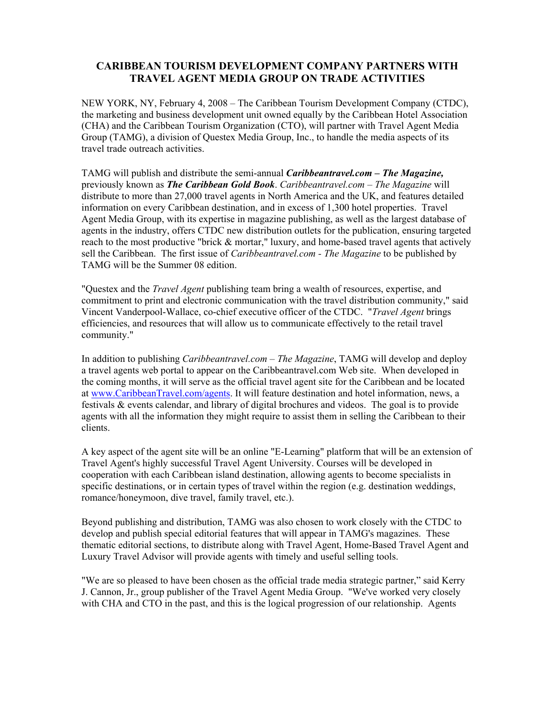## **CARIBBEAN TOURISM DEVELOPMENT COMPANY PARTNERS WITH TRAVEL AGENT MEDIA GROUP ON TRADE ACTIVITIES**

NEW YORK, NY, February 4, 2008 – The Caribbean Tourism Development Company (CTDC), the marketing and business development unit owned equally by the Caribbean Hotel Association (CHA) and the Caribbean Tourism Organization (CTO), will partner with Travel Agent Media Group (TAMG), a division of Questex Media Group, Inc., to handle the media aspects of its travel trade outreach activities.

TAMG will publish and distribute the semi-annual *Caribbeantravel.com – The Magazine,*  previously known as *The Caribbean Gold Book*. *Caribbeantravel.com – The Magazine* will distribute to more than 27,000 travel agents in North America and the UK, and features detailed information on every Caribbean destination, and in excess of 1,300 hotel properties. Travel Agent Media Group, with its expertise in magazine publishing, as well as the largest database of agents in the industry, offers CTDC new distribution outlets for the publication, ensuring targeted reach to the most productive "brick & mortar," luxury, and home-based travel agents that actively sell the Caribbean. The first issue of *Caribbeantravel.com - The Magazine* to be published by TAMG will be the Summer 08 edition.

"Questex and the *Travel Agent* publishing team bring a wealth of resources, expertise, and commitment to print and electronic communication with the travel distribution community," said Vincent Vanderpool-Wallace, co-chief executive officer of the CTDC. "*Travel Agent* brings efficiencies, and resources that will allow us to communicate effectively to the retail travel community."

In addition to publishing *Caribbeantravel.com – The Magazine*, TAMG will develop and deploy a travel agents web portal to appear on the Caribbeantravel.com Web site. When developed in the coming months, it will serve as the official travel agent site for the Caribbean and be located at www.CaribbeanTravel.com/agents. It will feature destination and hotel information, news, a festivals & events calendar, and library of digital brochures and videos. The goal is to provide agents with all the information they might require to assist them in selling the Caribbean to their clients.

A key aspect of the agent site will be an online "E-Learning" platform that will be an extension of Travel Agent's highly successful Travel Agent University. Courses will be developed in cooperation with each Caribbean island destination, allowing agents to become specialists in specific destinations, or in certain types of travel within the region (e.g. destination weddings, romance/honeymoon, dive travel, family travel, etc.).

Beyond publishing and distribution, TAMG was also chosen to work closely with the CTDC to develop and publish special editorial features that will appear in TAMG's magazines. These thematic editorial sections, to distribute along with Travel Agent, Home-Based Travel Agent and Luxury Travel Advisor will provide agents with timely and useful selling tools.

"We are so pleased to have been chosen as the official trade media strategic partner," said Kerry J. Cannon, Jr., group publisher of the Travel Agent Media Group. "We've worked very closely with CHA and CTO in the past, and this is the logical progression of our relationship. Agents